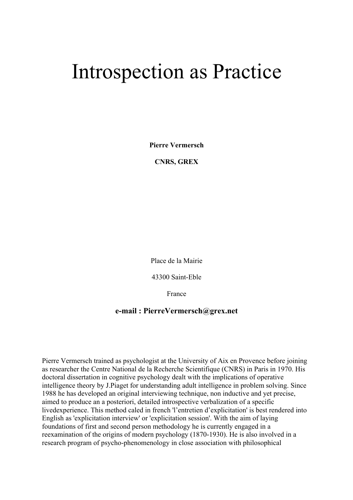# Introspection as Practice

**Pierre Vermersch** 

**CNRS, GREX** 

Place de la Mairie

43300 Saint-Eble

France

# **e-mail : PierreVermersch@grex.net**

Pierre Vermersch trained as psychologist at the University of Aix en Provence before joining as researcher the Centre National de la Recherche Scientifique (CNRS) in Paris in 1970. His doctoral dissertation in cognitive psychology dealt with the implications of operative intelligence theory by J.Piaget for understanding adult intelligence in problem solving. Since 1988 he has developed an original interviewing technique, non inductive and yet precise, aimed to produce an a posteriori, detailed introspective verbalization of a specific livedexperience. This method caled in french 'l'entretien d'explicitation' is best rendered into English as 'explicitation interview' or 'explicitation session'. With the aim of laying foundations of first and second person methodology he is currently engaged in a reexamination of the origins of modern psychology (1870-1930). He is also involved in a research program of psycho-phenomenology in close association with philosophical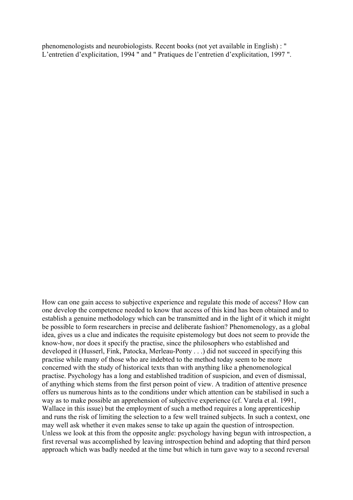phenomenologists and neurobiologists. Recent books (not yet available in English) : " L'entretien d'explicitation, 1994 " and " Pratiques de l'entretien d'explicitation, 1997 ".

How can one gain access to subjective experience and regulate this mode of access? How can one develop the competence needed to know that access of this kind has been obtained and to establish a genuine methodology which can be transmitted and in the light of it which it might be possible to form researchers in precise and deliberate fashion? Phenomenology, as a global idea, gives us a clue and indicates the requisite epistemology but does not seem to provide the know-how, nor does it specify the practise, since the philosophers who established and developed it (Husserl, Fink, Patocka, Merleau-Ponty . . .) did not succeed in specifying this practise while many of those who are indebted to the method today seem to be more concerned with the study of historical texts than with anything like a phenomenological practise. Psychology has a long and established tradition of suspicion, and even of dismissal, of anything which stems from the first person point of view. A tradition of attentive presence offers us numerous hints as to the conditions under which attention can be stabilised in such a way as to make possible an apprehension of subjective experience (cf. Varela et al. 1991, Wallace in this issue) but the employment of such a method requires a long apprenticeship and runs the risk of limiting the selection to a few well trained subjects. In such a context, one may well ask whether it even makes sense to take up again the question of introspection. Unless we look at this from the opposite angle: psychology having begun with introspection, a first reversal was accomplished by leaving introspection behind and adopting that third person approach which was badly needed at the time but which in turn gave way to a second reversal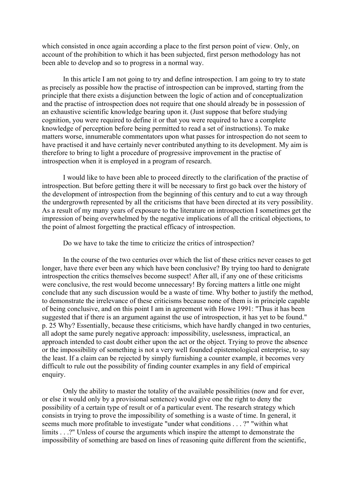which consisted in once again according a place to the first person point of view. Only, on account of the prohibition to which it has been subjected, first person methodology has not been able to develop and so to progress in a normal way.

 In this article I am not going to try and define introspection. I am going to try to state as precisely as possible how the practise of introspection can be improved, starting from the principle that there exists a disjunction between the logic of action and of conceptualization and the practise of introspection does not require that one should already be in possession of an exhaustive scientific knowledge bearing upon it. (Just suppose that before studying cognition, you were required to define it or that you were required to have a complete knowledge of perception before being permitted to read a set of instructions). To make matters worse, innumerable commentators upon what passes for introspection do not seem to have practised it and have certainly never contributed anything to its development. My aim is therefore to bring to light a procedure of progressive improvement in the practise of introspection when it is employed in a program of research.

 I would like to have been able to proceed directly to the clarification of the practise of introspection. But before getting there it will be necessary to first go back over the history of the development of introspection from the beginning of this century and to cut a way through the undergrowth represented by all the criticisms that have been directed at its very possibility. As a result of my many years of exposure to the literature on introspection I sometimes get the impression of being overwhelmed by the negative implications of all the critical objections, to the point of almost forgetting the practical efficacy of introspection.

Do we have to take the time to criticize the critics of introspection?

 In the course of the two centuries over which the list of these critics never ceases to get longer, have there ever been any which have been conclusive? By trying too hard to denigrate introspection the critics themselves become suspect! After all, if any one of these criticisms were conclusive, the rest would become unnecessary! By forcing matters a little one might conclude that any such discussion would be a waste of time. Why bother to justify the method, to demonstrate the irrelevance of these criticisms because none of them is in principle capable of being conclusive, and on this point I am in agreement with Howe 1991: "Thus it has been suggested that if there is an argument against the use of introspection, it has yet to be found." p. 25 Why? Essentially, because these criticisms, which have hardly changed in two centuries, all adopt the same purely negative approach: impossibility, uselessness, impractical, an approach intended to cast doubt either upon the act or the object. Trying to prove the absence or the impossibility of something is not a very well founded epistemological enterprise, to say the least. If a claim can be rejected by simply furnishing a counter example, it becomes very difficult to rule out the possibility of finding counter examples in any field of empirical enquiry.

 Only the ability to master the totality of the available possibilities (now and for ever, or else it would only by a provisional sentence) would give one the right to deny the possibility of a certain type of result or of a particular event. The research strategy which consists in trying to prove the impossibility of something is a waste of time. In general, it seems much more profitable to investigate "under what conditions . . . ?" "within what limits . . .?" Unless of course the arguments which inspire the attempt to demonstrate the impossibility of something are based on lines of reasoning quite different from the scientific,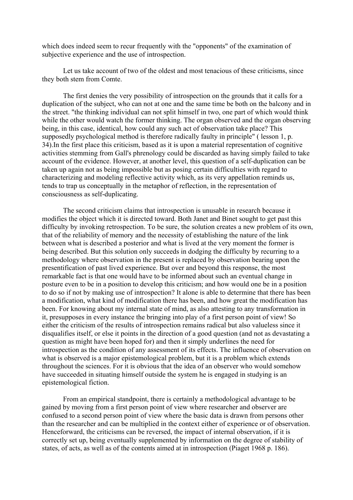which does indeed seem to recur frequently with the "opponents" of the examination of subjective experience and the use of introspection.

 Let us take account of two of the oldest and most tenacious of these criticisms, since they both stem from Comte.

 The first denies the very possibility of introspection on the grounds that it calls for a duplication of the subject, who can not at one and the same time be both on the balcony and in the street. "the thinking individual can not split himself in two, one part of which would think while the other would watch the former thinking. The organ observed and the organ observing being, in this case, identical, how could any such act of observation take place? This supposedly psychological method is therefore radically faulty in principle" ( lesson 1, p. 34).In the first place this criticism, based as it is upon a material representation of cognitive activities stemming from Gall's phrenology could be discarded as having simply failed to take account of the evidence. However, at another level, this question of a self-duplication can be taken up again not as being impossible but as posing certain difficulties with regard to characterizing and modeling reflective activity which, as its very appellation reminds us, tends to trap us conceptually in the metaphor of reflection, in the representation of consciousness as self-duplicating.

 The second criticism claims that introspection is unusable in research because it modifies the object which it is directed toward. Both Janet and Binet sought to get past this difficulty by invoking retrospection. To be sure, the solution creates a new problem of its own, that of the reliability of memory and the necessity of establishing the nature of the link between what is described a posterior and what is lived at the very moment the former is being described. But this solution only succeeds in dodging the difficulty by recurring to a methodology where observation in the present is replaced by observation bearing upon the presentification of past lived experience. But over and beyond this response, the most remarkable fact is that one would have to be informed about such an eventual change in posture even to be in a position to develop this criticism; and how would one be in a position to do so if not by making use of introspection? It alone is able to determine that there has been a modification, what kind of modification there has been, and how great the modification has been. For knowing about my internal state of mind, as also attesting to any transformation in it, presupposes in every instance the bringing into play of a first person point of view! So either the criticism of the results of introspection remains radical but also valueless since it disqualifies itself, or else it points in the direction of a good question (and not as devastating a question as might have been hoped for) and then it simply underlines the need for introspection as the condition of any assessment of its effects. The influence of observation on what is observed is a major epistemological problem, but it is a problem which extends throughout the sciences. For it is obvious that the idea of an observer who would somehow have succeeded in situating himself outside the system he is engaged in studying is an epistemological fiction.

 From an empirical standpoint, there is certainly a methodological advantage to be gained by moving from a first person point of view where researcher and observer are confused to a second person point of view where the basic data is drawn from persons other than the researcher and can be multiplied in the context either of experience or of observation. Henceforward, the criticisms can be reversed, the impact of internal observation, if it is correctly set up, being eventually supplemented by information on the degree of stability of states, of acts, as well as of the contents aimed at in introspection (Piaget 1968 p. 186).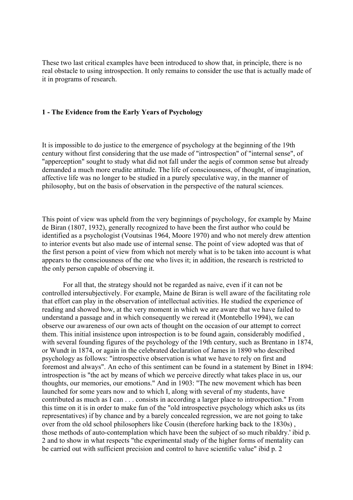These two last critical examples have been introduced to show that, in principle, there is no real obstacle to using introspection. It only remains to consider the use that is actually made of it in programs of research.

## **1 - The Evidence from the Early Years of Psychology**

It is impossible to do justice to the emergence of psychology at the beginning of the 19th century without first considering that the use made of "introspection" of "internal sense", of "apperception" sought to study what did not fall under the aegis of common sense but already demanded a much more erudite attitude. The life of consciousness, of thought, of imagination, affective life was no longer to be studied in a purely speculative way, in the manner of philosophy, but on the basis of observation in the perspective of the natural sciences.

This point of view was upheld from the very beginnings of psychology, for example by Maine de Biran (1807, 1932), generally recognized to have been the first author who could be identified as a psychologist (Voutsinas 1964, Moore 1970) and who not merely drew attention to interior events but also made use of internal sense. The point of view adopted was that of the first person a point of view from which not merely what is to be taken into account is what appears to the consciousness of the one who lives it; in addition, the research is restricted to the only person capable of observing it.

 For all that, the strategy should not be regarded as naive, even if it can not be controlled intersubjectively. For example, Maine de Biran is well aware of the facilitating role that effort can play in the observation of intellectual activities. He studied the experience of reading and showed how, at the very moment in which we are aware that we have failed to understand a passage and in which consequently we reread it (Montebello 1994), we can observe our awareness of our own acts of thought on the occasion of our attempt to correct them. This initial insistence upon introspection is to be found again, considerably modified , with several founding figures of the psychology of the 19th century, such as Brentano in 1874, or Wundt in 1874, or again in the celebrated declaration of James in 1890 who described psychology as follows: "introspective observation is what we have to rely on first and foremost and always". An echo of this sentiment can be found in a statement by Binet in 1894: introspection is "the act by means of which we perceive directly what takes place in us, our thoughts, our memories, our emotions." And in 1903: "The new movement which has been launched for some years now and to which I, along with several of my students, have contributed as much as I can . . . consists in according a larger place to introspection." From this time on it is in order to make fun of the "old introspective psychology which asks us (its representatives) if by chance and by a barely concealed regression, we are not going to take over from the old school philosophers like Cousin (therefore harking back to the 1830s) , those methods of auto-contemplation which have been the subject of so much ribaldry.' ibid p. 2 and to show in what respects "the experimental study of the higher forms of mentality can be carried out with sufficient precision and control to have scientific value" ibid p. 2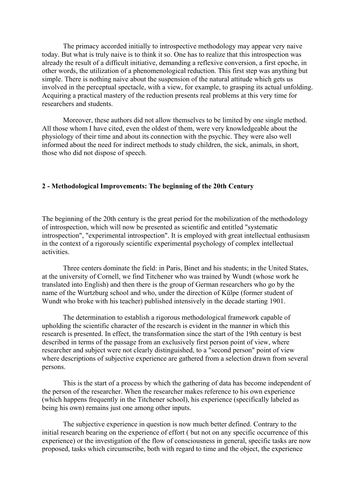The primacy accorded initially to introspective methodology may appear very naive today. But what is truly naive is to think it so. One has to realize that this introspection was already the result of a difficult initiative, demanding a reflexive conversion, a first epoche, in other words, the utilization of a phenomenological reduction. This first step was anything but simple. There is nothing naive about the suspension of the natural attitude which gets us involved in the perceptual spectacle, with a view, for example, to grasping its actual unfolding. Acquiring a practical mastery of the reduction presents real problems at this very time for researchers and students.

 Moreover, these authors did not allow themselves to be limited by one single method. All those whom I have cited, even the oldest of them, were very knowledgeable about the physiology of their time and about its connection with the psychic. They were also well informed about the need for indirect methods to study children, the sick, animals, in short, those who did not dispose of speech.

## **2 - Methodological Improvements: The beginning of the 20th Century**

The beginning of the 20th century is the great period for the mobilization of the methodology of introspection, which will now be presented as scientific and entitled "systematic introspection", "experimental introspection". It is employed with great intellectual enthusiasm in the context of a rigorously scientific experimental psychology of complex intellectual activities.

 Three centers dominate the field: in Paris, Binet and his students; in the United States, at the university of Cornell, we find Titchener who was trained by Wundt (whose work he translated into English) and then there is the group of German researchers who go by the name of the Wurtzburg school and who, under the direction of Külpe (former student of Wundt who broke with his teacher) published intensively in the decade starting 1901.

 The determination to establish a rigorous methodological framework capable of upholding the scientific character of the research is evident in the manner in which this research is presented. In effect, the transformation since the start of the 19th century is best described in terms of the passage from an exclusively first person point of view, where researcher and subject were not clearly distinguished, to a "second person" point of view where descriptions of subjective experience are gathered from a selection drawn from several persons.

 This is the start of a process by which the gathering of data has become independent of the person of the researcher. When the researcher makes reference to his own experience (which happens frequently in the Titchener school), his experience (specifically labeled as being his own) remains just one among other inputs.

 The subjective experience in question is now much better defined. Contrary to the initial research bearing on the experience of effort ( but not on any specific occurrence of this experience) or the investigation of the flow of consciousness in general, specific tasks are now proposed, tasks which circumscribe, both with regard to time and the object, the experience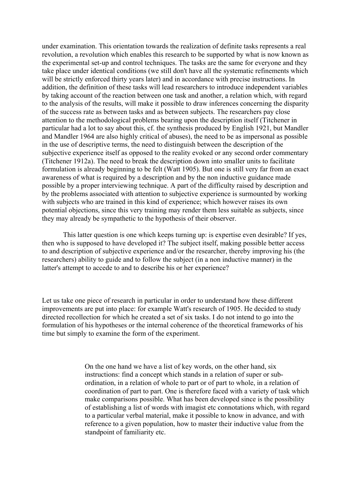under examination. This orientation towards the realization of definite tasks represents a real revolution, a revolution which enables this research to be supported by what is now known as the experimental set-up and control techniques. The tasks are the same for everyone and they take place under identical conditions (we still don't have all the systematic refinements which will be strictly enforced thirty years later) and in accordance with precise instructions. In addition, the definition of these tasks will lead researchers to introduce independent variables by taking account of the reaction between one task and another, a relation which, with regard to the analysis of the results, will make it possible to draw inferences concerning the disparity of the success rate as between tasks and as between subjects. The researchers pay close attention to the methodological problems bearing upon the description itself (Titchener in particular had a lot to say about this, cf. the synthesis produced by English 1921, but Mandler and Mandler 1964 are also highly critical of abuses), the need to be as impersonal as possible in the use of descriptive terms, the need to distinguish between the description of the subjective experience itself as opposed to the reality evoked or any second order commentary (Titchener 1912a). The need to break the description down into smaller units to facilitate formulation is already beginning to be felt (Watt 1905). But one is still very far from an exact awareness of what is required by a description and by the non inductive guidance made possible by a proper interviewing technique. A part of the difficulty raised by description and by the problems associated with attention to subjective experience is surmounted by working with subjects who are trained in this kind of experience; which however raises its own potential objections, since this very training may render them less suitable as subjects, since they may already be sympathetic to the hypothesis of their observer.

 This latter question is one which keeps turning up: is expertise even desirable? If yes, then who is supposed to have developed it? The subject itself, making possible better access to and description of subjective experience and/or the researcher, thereby improving his (the researchers) ability to guide and to follow the subject (in a non inductive manner) in the latter's attempt to accede to and to describe his or her experience?

Let us take one piece of research in particular in order to understand how these different improvements are put into place: for example Watt's research of 1905. He decided to study directed recollection for which he created a set of six tasks. I do not intend to go into the formulation of his hypotheses or the internal coherence of the theoretical frameworks of his time but simply to examine the form of the experiment.

> On the one hand we have a list of key words, on the other hand, six instructions: find a concept which stands in a relation of super or subordination, in a relation of whole to part or of part to whole, in a relation of coordination of part to part. One is therefore faced with a variety of task which make comparisons possible. What has been developed since is the possibility of establishing a list of words with imagist etc connotations which, with regard to a particular verbal material, make it possible to know in advance, and with reference to a given population, how to master their inductive value from the standpoint of familiarity etc.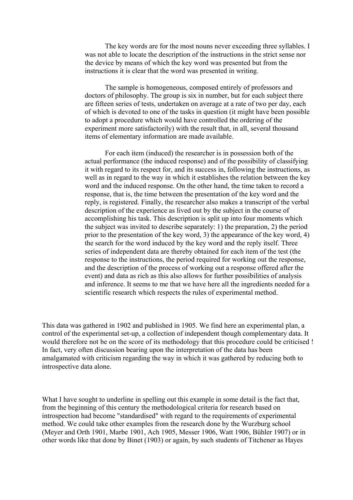The key words are for the most nouns never exceeding three syllables. I was not able to locate the description of the instructions in the strict sense nor the device by means of which the key word was presented but from the instructions it is clear that the word was presented in writing.

 The sample is homogeneous, composed entirely of professors and doctors of philosophy. The group is six in number, but for each subject there are fifteen series of tests, undertaken on average at a rate of two per day, each of which is devoted to one of the tasks in question (it might have been possible to adopt a procedure which would have controlled the ordering of the experiment more satisfactorily) with the result that, in all, several thousand items of elementary information are made available.

 For each item (induced) the researcher is in possession both of the actual performance (the induced response) and of the possibility of classifying it with regard to its respect for, and its success in, following the instructions, as well as in regard to the way in which it establishes the relation between the key word and the induced response. On the other hand, the time taken to record a response, that is, the time between the presentation of the key word and the reply, is registered. Finally, the researcher also makes a transcript of the verbal description of the experience as lived out by the subject in the course of accomplishing his task. This description is split up into four moments which the subject was invited to describe separately: 1) the preparation, 2) the period prior to the presentation of the key word, 3) the appearance of the key word, 4) the search for the word induced by the key word and the reply itself. Three series of independent data are thereby obtained for each item of the test (the response to the instructions, the period required for working out the response, and the description of the process of working out a response offered after the event) and data as rich as this also allows for further possibilities of analysis and inference. It seems to me that we have here all the ingredients needed for a scientific research which respects the rules of experimental method.

This data was gathered in 1902 and published in 1905. We find here an experimental plan, a control of the experimental set-up, a collection of independent though complementary data. It would therefore not be on the score of its methodology that this procedure could be criticised ! In fact, very often discussion bearing upon the interpretation of the data has been amalgamated with criticism regarding the way in which it was gathered by reducing both to introspective data alone.

What I have sought to underline in spelling out this example in some detail is the fact that, from the beginning of this century the methodological criteria for research based on introspection had become "standardised" with regard to the requirements of experimental method. We could take other examples from the research done by the Wurzburg school (Meyer and Orth 1901, Marbe 1901, Ach 1905, Messer 1906, Watt 1906, Bühler 1907) or in other words like that done by Binet (1903) or again, by such students of Titchener as Hayes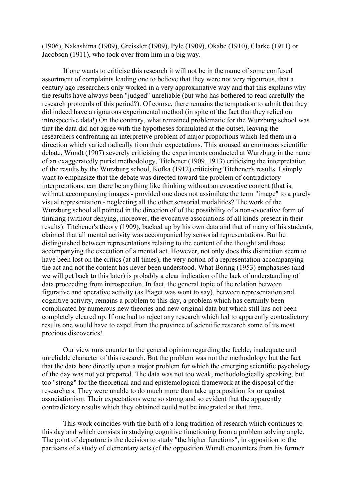(1906), Nakashima (1909), Greissler (1909), Pyle (1909), Okabe (1910), Clarke (1911) or Jacobson (1911), who took over from him in a big way.

 If one wants to criticise this research it will not be in the name of some confused assortment of complaints leading one to believe that they were not very rigourous, that a century ago researchers only worked in a very approximative way and that this explains why the results have always been "judged" unreliable (but who has bothered to read carefully the research protocols of this period?). Of course, there remains the temptation to admit that they did indeed have a rigourous experimental method (in spite of the fact that they relied on introspective data!) On the contrary, what remained problematic for the Wurzburg school was that the data did not agree with the hypotheses formulated at the outset, leaving the researchers confronting an interpretive problem of major proportions which led them in a direction which varied radically from their expectations. This aroused an enormous scientific debate, Wundt (1907) severely criticising the experiments conducted at Wurzburg in the name of an exaggeratedly purist methodology, Titchener (1909, 1913) criticising the interpretation of the results by the Wurzburg school, Kofka (1912) criticising Titchener's results. I simply want to emphasize that the debate was directed toward the problem of contradictory interpretations: can there be anything like thinking without an evocative content (that is, without accompanying images - provided one does not assimilate the term "image" to a purely visual representation - neglecting all the other sensorial modalities? The work of the Wurzburg school all pointed in the direction of of the possibility of a non-evocative form of thinking (without denying, moreover, the evocative associations of all kinds present in their results). Titchener's theory (1909), backed up by his own data and that of many of his students, claimed that all mental activity was accompanied by sensorial representations. But he distinguished between representations relating to the content of the thought and those accompanying the execution of a mental act. However, not only does this distinction seem to have been lost on the critics (at all times), the very notion of a representation accompanying the act and not the content has never been understood. What Boring (1953) emphasises (and we will get back to this later) is probably a clear indication of the lack of understanding of data proceeding from introspection. In fact, the general topic of the relation between figurative and operative activity (as Piaget was wont to say), between representation and cognitive activity, remains a problem to this day, a problem which has certainly been complicated by numerous new theories and new original data but which still has not been completely cleared up. If one had to reject any research which led to apparently contradictory results one would have to expel from the province of scientific research some of its most precious discoveries!

 Our view runs counter to the general opinion regarding the feeble, inadequate and unreliable character of this research. But the problem was not the methodology but the fact that the data bore directly upon a major problem for which the emerging scientific psychology of the day was not yet prepared. The data was not too weak, methodologically speaking, but too "strong" for the theoretical and and epistemological framework at the disposal of the researchers. They were unable to do much more than take up a position for or against associationism. Their expectations were so strong and so evident that the apparently contradictory results which they obtained could not be integrated at that time.

 This work coincides with the birth of a long tradition of research which continues to this day and which consists in studying cognitive functioning from a problem solving angle. The point of departure is the decision to study "the higher functions", in opposition to the partisans of a study of elementary acts (cf the opposition Wundt encounters from his former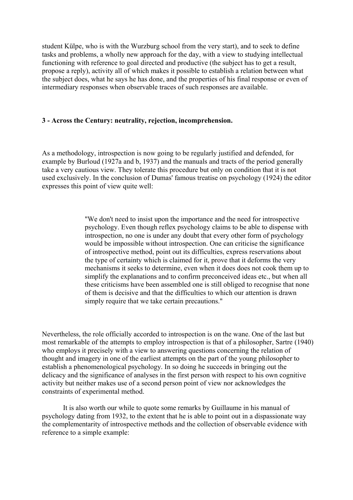student Külpe, who is with the Wurzburg school from the very start), and to seek to define tasks and problems, a wholly new approach for the day, with a view to studying intellectual functioning with reference to goal directed and productive (the subject has to get a result, propose a reply), activity all of which makes it possible to establish a relation between what the subject does, what he says he has done, and the properties of his final response or even of intermediary responses when observable traces of such responses are available.

## **3 - Across the Century: neutrality, rejection, incomprehension.**

As a methodology, introspection is now going to be regularly justified and defended, for example by Burloud (1927a and b, 1937) and the manuals and tracts of the period generally take a very cautious view. They tolerate this procedure but only on condition that it is not used exclusively. In the conclusion of Dumas' famous treatise on psychology (1924) the editor expresses this point of view quite well:

> "We don't need to insist upon the importance and the need for introspective psychology. Even though reflex psychology claims to be able to dispense with introspection, no one is under any doubt that every other form of psychology would be impossible without introspection. One can criticise the significance of introspective method, point out its difficulties, express reservations about the type of certainty which is claimed for it, prove that it deforms the very mechanisms it seeks to determine, even when it does does not cook them up to simplify the explanations and to confirm preconceived ideas etc., but when all these criticisms have been assembled one is still obliged to recognise that none of them is decisive and that the difficulties to which our attention is drawn simply require that we take certain precautions."

Nevertheless, the role officially accorded to introspection is on the wane. One of the last but most remarkable of the attempts to employ introspection is that of a philosopher, Sartre (1940) who employs it precisely with a view to answering questions concerning the relation of thought and imagery in one of the earliest attempts on the part of the young philosopher to establish a phenomenological psychology. In so doing he succeeds in bringing out the delicacy and the significance of analyses in the first person with respect to his own cognitive activity but neither makes use of a second person point of view nor acknowledges the constraints of experimental method.

 It is also worth our while to quote some remarks by Guillaume in his manual of psychology dating from 1932, to the extent that he is able to point out in a dispassionate way the complementarity of introspective methods and the collection of observable evidence with reference to a simple example: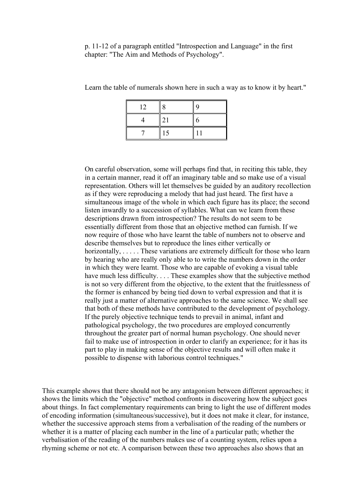p. 11-12 of a paragraph entitled "Introspection and Language" in the first chapter: "The Aim and Methods of Psychology".

| 12 | 8  | 9 |
|----|----|---|
|    | 21 | 6 |
|    | 15 |   |

Learn the table of numerals shown here in such a way as to know it by heart."

On careful observation, some will perhaps find that, in reciting this table, they in a certain manner, read it off an imaginary table and so make use of a visual representation. Others will let themselves be guided by an auditory recollection as if they were reproducing a melody that had just heard. The first have a simultaneous image of the whole in which each figure has its place; the second listen inwardly to a succession of syllables. What can we learn from these descriptions drawn from introspection? The results do not seem to be essentially different from those that an objective method can furnish. If we now require of those who have learnt the table of numbers not to observe and describe themselves but to reproduce the lines either vertically or horizontally, ..... These variations are extremely difficult for those who learn by hearing who are really only able to to write the numbers down in the order in which they were learnt. Those who are capable of evoking a visual table have much less difficulty. . . . These examples show that the subjective method is not so very different from the objective, to the extent that the fruitlessness of the former is enhanced by being tied down to verbal expression and that it is really just a matter of alternative approaches to the same science. We shall see that both of these methods have contributed to the development of psychology. If the purely objective technique tends to prevail in animal, infant and pathological psychology, the two procedures are employed concurrently throughout the greater part of normal human psychology. One should never fail to make use of introspection in order to clarify an experience; for it has its part to play in making sense of the objective results and will often make it possible to dispense with laborious control techniques."

This example shows that there should not be any antagonism between different approaches; it shows the limits which the "objective" method confronts in discovering how the subject goes about things. In fact complementary requirements can bring to light the use of different modes of encoding information (simultaneous/successive), but it does not make it clear, for instance, whether the successive approach stems from a verbalisation of the reading of the numbers or whether it is a matter of placing each number in the line of a particular path; whether the verbalisation of the reading of the numbers makes use of a counting system, relies upon a rhyming scheme or not etc. A comparison between these two approaches also shows that an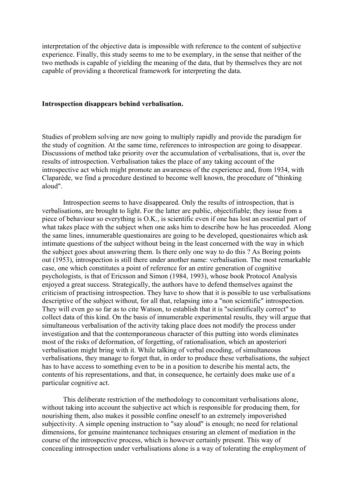interpretation of the objective data is impossible with reference to the content of subjective experience. Finally, this study seems to me to be exemplary, in the sense that neither of the two methods is capable of yielding the meaning of the data, that by themselves they are not capable of providing a theoretical framework for interpreting the data.

#### **Introspection disappears behind verbalisation.**

Studies of problem solving are now going to multiply rapidly and provide the paradigm for the study of cognition. At the same time, references to introspection are going to disappear. Discussions of method take priority over the accumulation of verbalisations, that is, over the results of introspection. Verbalisation takes the place of any taking account of the introspective act which might promote an awareness of the experience and, from 1934, with Claparède, we find a procedure destined to become well known, the procedure of "thinking aloud".

 Introspection seems to have disappeared. Only the results of introspection, that is verbalisations, are brought to light. For the latter are public, objectifiable; they issue from a piece of behaviour so everything is O.K., is scientific even if one has lost an essential part of what takes place with the subject when one asks him to describe how he has proceeded. Along the same lines, innumerable questionaires are going to be developed, questionaires which ask intimate questions of the subject without being in the least concerned with the way in which the subject goes about answering them. Is there only one way to do this ? As Boring points out (1953), introspection is still there under another name: verbalisation. The most remarkable case, one which constitutes a point of reference for an entire generation of cognitive psychologists, is that of Ericsson and Simon (1984, 1993), whose book Protocol Analysis enjoyed a great success. Strategically, the authors have to defend themselves against the criticism of practising introspection. They have to show that it is possible to use verbalisations descriptive of the subject without, for all that, relapsing into a "non scientific" introspection. They will even go so far as to cite Watson, to establish that it is "scientifically correct" to collect data of this kind. On the basis of innumerable experimental results, they will argue that simultaneous verbalisation of the activity taking place does not modify the process under investigation and that the contemporaneous character of this putting into words eliminates most of the risks of deformation, of forgetting, of rationalisation, which an aposteriori verbalisation might bring with it. While talking of verbal encoding, of simultaneous verbalisations, they manage to forget that, in order to produce these verbalisations, the subject has to have access to something even to be in a position to describe his mental acts, the contents of his representations, and that, in consequence, he certainly does make use of a particular cognitive act.

 This deliberate restriction of the methodology to concomitant verbalisations alone, without taking into account the subjective act which is responsible for producing them, for nourishing them, also makes it possible confine oneself to an extremely impoverished subjectivity. A simple opening instruction to "say aloud" is enough; no need for relational dimensions, for genuine maintenance techniques ensuring an element of mediation in the course of the introspective process, which is however certainly present. This way of concealing introspection under verbalisations alone is a way of tolerating the employment of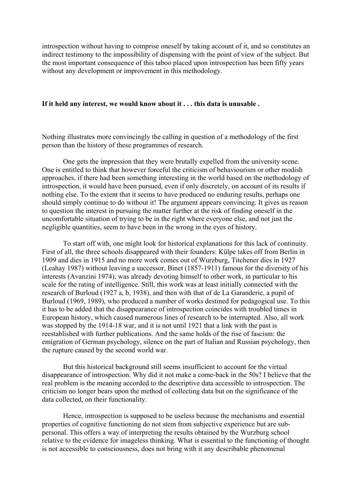introspection without having to comprise oneself by taking account of it, and so constitutes an indirect testimony to the impossibility of dispensing with the point of view of the subject. But the most important consequence of this taboo placed upon introspection has been fifty years without any development or improvement in this methodology.

#### **If it held any interest, we would know about it . . . this data is unusable .**

Nothing illustrates more convincingly the calling in question of a methodology of the first person than the history of these programmes of research.

 One gets the impression that they were brutally expelled from the university scene. One is entitled to think that however forceful the criticism of behaviourism or other modish approaches, if there had been something interesting in the world based on the methodology of introspection, it would have been pursued, even if only discretely, on account of its results if nothing else. To the extent that it seems to have produced no enduring results, perhaps one should simply continue to do without it! The argument appears convincing. It gives us reason to question the interest in pursuing the matter further at the risk of finding oneself in the uncomfortable situation of trying to be in the right where everyone else, and not just the negligible quantities, seem to have been in the wrong in the eyes of history.

 To start off with, one might look for historical explanations for this lack of continuity. First of all, the three schools disappeared with their founders: Külpe takes off from Berlin in 1909 and dies in 1915 and no more work comes out of Wurzburg, Titchener dies in 1927 (Leahay 1987) without leaving a successor, Binet (1857-1911) famous for the diversity of his interests (Avanzini 1974), was already devoting himself to other work, in particular to his scale for the rating of intelligence. Still, this work was at least initially connected with the research of Burloud (1927 a, b, 1938), and then with that of de La Garanderie, a pupil of Burloud (1969, 1989), who produced a number of works destined for pedagogical use. To this it has to be added that the disappearance of introspection coincides with troubled times in European history, which caused numerous lines of research to be interrupted. Also, all work was stopped by the 1914-18 war, and it is not until 1921 that a link with the past is reestablished with further publications. And the same holds of the rise of fascism: the emigration of German psychology, silence on the part of Italian and Russian psychology, then the rupture caused by the second world war.

 But this historical background still seems insufficient to account for the virtual disappearance of introspection. Why did it not make a come-back in the 50s? I believe that the real problem is the meaning accorded to the descriptive data accessible to introspection. The criticism no longer bears upon the method of collecting data but on the significance of the data collected, on their functionality.

 Hence, introspection is supposed to be useless because the mechanisms and essential properties of cognitive functioning do not stem from subjective experience but are subpersonal. This offers a way of interpreting the results obtained by the Wurzburg school relative to the evidence for imageless thinking. What is essential to the functioning of thought is not accessible to consciousness, does not bring with it any describable phenomenal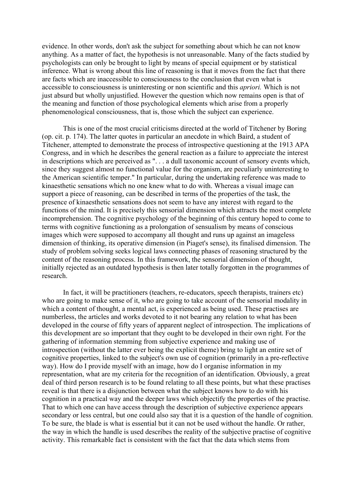evidence. In other words, don't ask the subject for something about which he can not know anything. As a matter of fact, the hypothesis is not unreasonable. Many of the facts studied by psychologists can only be brought to light by means of special equipment or by statistical inference. What is wrong about this line of reasoning is that it moves from the fact that there are facts which are inaccessible to consciousness to the conclusion that even what is accessible to consciousness is uninteresting or non scientific and this *apriori.* Which is not just absurd but wholly unjustified. However the question which now remains open is that of the meaning and function of those psychological elements which arise from a properly phenomenological consciousness, that is, those which the subject can experience.

 This is one of the most crucial criticisms directed at the world of Titchener by Boring (op. cit. p. 174). The latter quotes in particular an anecdote in which Baird, a student of Titchener, attempted to demonstrate the process of introspective questioning at the 1913 APA Congress, and in which he describes the general reaction as a failure to appreciate the interest in descriptions which are perceived as ". . . a dull taxonomic account of sensory events which, since they suggest almost no functional value for the organism, are peculiarly uninteresting to the American scientific temper." In particular, during the undertaking reference was made to kinaesthetic sensations which no one knew what to do with. Whereas a visual image can support a piece of reasoning, can be described in terms of the properties of the task, the presence of kinaesthetic sensations does not seem to have any interest with regard to the functions of the mind. It is precisely this sensorial dimension which attracts the most complete incomprehension. The cognitive psychology of the beginning of this century hoped to come to terms with cognitive functioning as a prolongation of sensualism by means of conscious images which were supposed to accompany all thought and runs up against an imageless dimension of thinking, its operative dimension (in Piaget's sense), its finalised dimension. The study of problem solving seeks logical laws connecting phases of reasoning structured by the content of the reasoning process. In this framework, the sensorial dimension of thought, initially rejected as an outdated hypothesis is then later totally forgotten in the programmes of research.

 In fact, it will be practitioners (teachers, re-educators, speech therapists, trainers etc) who are going to make sense of it, who are going to take account of the sensorial modality in which a content of thought, a mental act, is experienced as being used. These practises are numberless, the articles and works devoted to it not bearing any relation to what has been developed in the course of fifty years of apparent neglect of introspection. The implications of this development are so important that they ought to be developed in their own right. For the gathering of information stemming from subjective experience and making use of introspection (without the latter ever being the explicit theme) bring to light an entire set of cognitive properties, linked to the subject's own use of cognition (primarily in a pre-reflective way). How do I provide myself with an image, how do I organise information in my representation, what are my criteria for the recognition of an identification. Obviously, a great deal of third person research is to be found relating to all these points, but what these practises reveal is that there is a disjunction between what the subject knows how to do with his cognition in a practical way and the deeper laws which objectify the properties of the practise. That to which one can have access through the description of subjective experience appears secondary or less central, but one could also say that it is a question of the handle of cognition. To be sure, the blade is what is essential but it can not be used without the handle. Or rather, the way in which the handle is used describes the reality of the subjective practise of cognitive activity. This remarkable fact is consistent with the fact that the data which stems from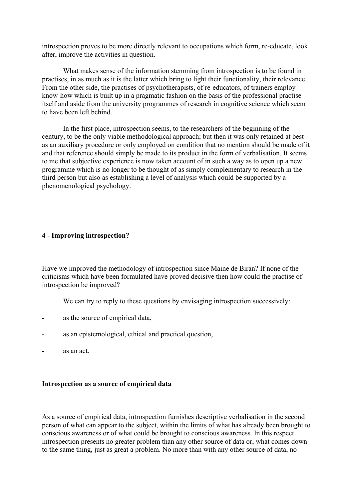introspection proves to be more directly relevant to occupations which form, re-educate, look after, improve the activities in question.

 What makes sense of the information stemming from introspection is to be found in practises, in as much as it is the latter which bring to light their functionality, their relevance. From the other side, the practises of psychotherapists, of re-educators, of trainers employ know-how which is built up in a pragmatic fashion on the basis of the professional practise itself and aside from the university programmes of research in cognitive science which seem to have been left behind.

 In the first place, introspection seems, to the researchers of the beginning of the century, to be the only viable methodological approach; but then it was only retained at best as an auxiliary procedure or only employed on condition that no mention should be made of it and that reference should simply be made to its product in the form of verbalisation. It seems to me that subjective experience is now taken account of in such a way as to open up a new programme which is no longer to be thought of as simply complementary to research in the third person but also as establishing a level of analysis which could be supported by a phenomenological psychology.

## **4 - Improving introspection?**

Have we improved the methodology of introspection since Maine de Biran? If none of the criticisms which have been formulated have proved decisive then how could the practise of introspection be improved?

We can try to reply to these questions by envisaging introspection successively:

- as the source of empirical data,
- as an epistemological, ethical and practical question,
- as an act.

## **Introspection as a source of empirical data**

As a source of empirical data, introspection furnishes descriptive verbalisation in the second person of what can appear to the subject, within the limits of what has already been brought to conscious awareness or of what could be brought to conscious awareness. In this respect introspection presents no greater problem than any other source of data or, what comes down to the same thing, just as great a problem. No more than with any other source of data, no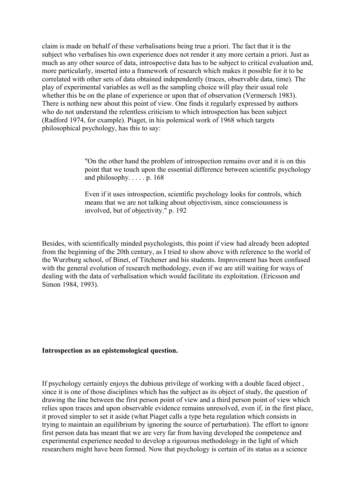claim is made on behalf of these verbalisations being true a priori. The fact that it is the subject who verbalises his own experience does not render it any more certain a priori. Just as much as any other source of data, introspective data has to be subject to critical evaluation and, more particularly, inserted into a framework of research which makes it possible for it to be correlated with other sets of data obtained independently (traces, observable data, time). The play of experimental variables as well as the sampling choice will play their usual role whether this be on the plane of experience or upon that of observation (Vermersch 1983). There is nothing new about this point of view. One finds it regularly expressed by authors who do not understand the relentless criticism to which introspection has been subject (Radford 1974, for example). Piaget, in his polemical work of 1968 which targets philosophical psychology, has this to say:

> "On the other hand the problem of introspection remains over and it is on this point that we touch upon the essential difference between scientific psychology and philosophy.  $\ldots$  p. 168

Even if it uses introspection, scientific psychology looks for controls, which means that we are not talking about objectivism, since consciousness is involved, but of objectivity." p. 192

Besides, with scientifically minded psychologists, this point if view had already been adopted from the beginning of the 20th century, as I tried to show above with reference to the world of the Wurzburg school, of Binet, of Titchener and his students. Improvement has been confused with the general evolution of research methodology, even if we are still waiting for ways of dealing with the data of verbalisation which would facilitate its exploitation. (Ericsson and Simon 1984, 1993).

#### **Introspection as an epistemological question.**

If psychology certainly enjoys the dubious privilege of working with a double faced object , since it is one of those disciplines which has the subject as its object of study, the question of drawing the line between the first person point of view and a third person point of view which relies upon traces and upon observable evidence remains unresolved, even if, in the first place, it proved simpler to set it aside (what Piaget calls a type beta regulation which consists in trying to maintain an equilibrium by ignoring the source of perturbation). The effort to ignore first person data has meant that we are very far from having developed the competence and experimental experience needed to develop a rigourous methodology in the light of which researchers might have been formed. Now that psychology is certain of its status as a science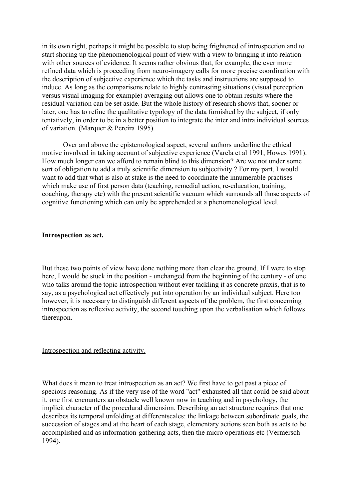in its own right, perhaps it might be possible to stop being frightened of introspection and to start shoring up the phenomenological point of view with a view to bringing it into relation with other sources of evidence. It seems rather obvious that, for example, the ever more refined data which is proceeding from neuro-imagery calls for more precise coordination with the description of subjective experience which the tasks and instructions are supposed to induce. As long as the comparisons relate to highly contrasting situations (visual perception versus visual imaging for example) averaging out allows one to obtain results where the residual variation can be set aside. But the whole history of research shows that, sooner or later, one has to refine the qualitative typology of the data furnished by the subject, if only tentatively, in order to be in a better position to integrate the inter and intra individual sources of variation. (Marquer & Pereira 1995).

 Over and above the epistemological aspect, several authors underline the ethical motive involved in taking account of subjective experience (Varela et al 1991, Howes 1991). How much longer can we afford to remain blind to this dimension? Are we not under some sort of obligation to add a truly scientific dimension to subjectivity ? For my part, I would want to add that what is also at stake is the need to coordinate the innumerable practises which make use of first person data (teaching, remedial action, re-education, training, coaching, therapy etc) with the present scientific vacuum which surrounds all those aspects of cognitive functioning which can only be apprehended at a phenomenological level.

## **Introspection as act.**

But these two points of view have done nothing more than clear the ground. If I were to stop here, I would be stuck in the position - unchanged from the beginning of the century - of one who talks around the topic introspection without ever tackling it as concrete praxis, that is to say, as a psychological act effectively put into operation by an individual subject. Here too however, it is necessary to distinguish different aspects of the problem, the first concerning introspection as reflexive activity, the second touching upon the verbalisation which follows thereupon.

#### Introspection and reflecting activity.

What does it mean to treat introspection as an act? We first have to get past a piece of specious reasoning. As if the very use of the word "act" exhausted all that could be said about it, one first encounters an obstacle well known now in teaching and in psychology, the implicit character of the procedural dimension. Describing an act structure requires that one describes its temporal unfolding at differentscales: the linkage between subordinate goals, the succession of stages and at the heart of each stage, elementary actions seen both as acts to be accomplished and as information-gathering acts, then the micro operations etc (Vermersch 1994).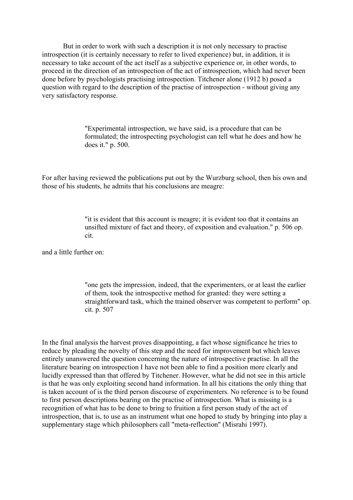But in order to work with such a description it is not only necessary to practise introspection (it is certainly necessary to refer to lived experience) but, in addition, it is necessary to take account of the act itself as a subjective experience or, in other words, to proceed in the direction of an introspection of the act of introspection, which had never been done before by psychologists practising introspection. Titchener alone (1912 b) posed a question with regard to the description of the practise of introspection - without giving any very satisfactory response.

> "Experimental introspection, we have said, is a procedure that can be formulated; the introspecting psychologist can tell what he does and how he does it." p. 500.

For after having reviewed the publications put out by the Wurzburg school, then his own and those of his students, he admits that his conclusions are meagre:

> "it is evident that this account is meagre; it is evident too that it contains an unsifted mixture of fact and theory, of exposition and evaluation." p. 506 op. cit.

and a little further on:

"one gets the impression, indeed, that the experimenters, or at least the earlier of them, took the introspective method for granted: they were setting a straightforward task, which the trained observer was competent to perform" op. cit. p. 507

In the final analysis the harvest proves disappointing, a fact whose significance he tries to reduce by pleading the novelty of this step and the need for improvement but which leaves entirely unanswered the question concerning the nature of introspective practise. In all the literature bearing on introspection I have not been able to find a position more clearly and lucidly expressed than that offered by Titchener. However, what he did not see in this article is that he was only exploiting second hand information. In all his citations the only thing that is taken account of is the third person discourse of experimenters. No reference is to be found to first person descriptions bearing on the practise of introspection. What is missing is a recognition of what has to be done to bring to fruition a first person study of the act of introspection, that is, to use as an instrument what one hoped to study by bringing into play a supplementary stage which philosophers call "meta-reflection" (Misrahi 1997).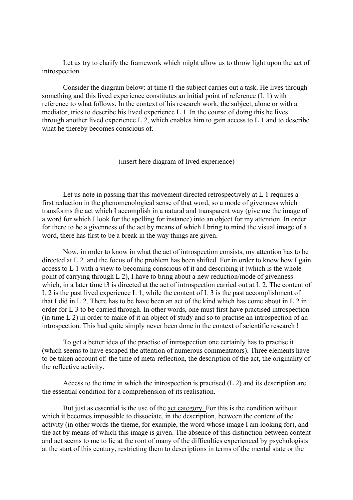Let us try to clarify the framework which might allow us to throw light upon the act of introspection.

 Consider the diagram below: at time t1 the subject carries out a task. He lives through something and this lived experience constitutes an initial point of reference (L 1) with reference to what follows. In the context of his research work, the subject, alone or with a mediator, tries to describe his lived experience L 1. In the course of doing this he lives through another lived experience L 2, which enables him to gain access to L 1 and to describe what he thereby becomes conscious of.

(insert here diagram of lived experience)

 Let us note in passing that this movement directed retrospectively at L 1 requires a first reduction in the phenomenological sense of that word, so a mode of givenness which transforms the act which I accomplish in a natural and transparent way (give me the image of a word for which I look for the spelling for instance) into an object for my attention. In order for there to be a givenness of the act by means of which I bring to mind the visual image of a word, there has first to be a break in the way things are given.

 Now, in order to know in what the act of introspection consists, my attention has to be directed at L 2. and the focus of the problem has been shifted. For in order to know how I gain access to L 1 with a view to becoming conscious of it and describing it (which is the whole point of carrying through L 2), I have to bring about a new reduction/mode of givenness which, in a later time t3 is directed at the act of introspection carried out at L 2. The content of L 2 is the past lived experience L 1, while the content of L 3 is the past accomplishment of that I did in L 2. There has to be have been an act of the kind which has come about in L 2 in order for L 3 to be carried through. In other words, one must first have practised introspection (in time L 2) in order to make of it an object of study and so to practise an introspection of an introspection. This had quite simply never been done in the context of scientific research !

 To get a better idea of the practise of introspection one certainly has to practise it (which seems to have escaped the attention of numerous commentators). Three elements have to be taken account of: the time of meta-reflection, the description of the act, the originality of the reflective activity.

 Access to the time in which the introspection is practised (L 2) and its description are the essential condition for a comprehension of its realisation.

 But just as essential is the use of the act category. For this is the condition without which it becomes impossible to dissociate, in the description, between the content of the activity (in other words the theme, for example, the word whose image I am looking for), and the act by means of which this image is given. The absence of this distinction between content and act seems to me to lie at the root of many of the difficulties experienced by psychologists at the start of this century, restricting them to descriptions in terms of the mental state or the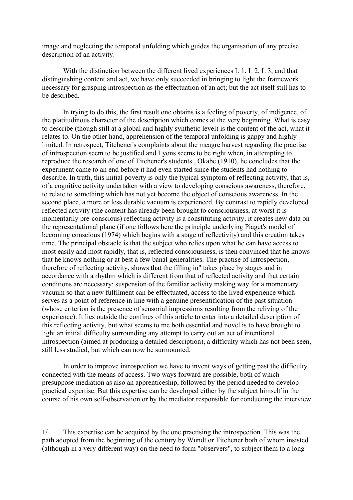image and neglecting the temporal unfolding which guides the organisation of any precise description of an activity.

 With the distinction between the different lived experiences L 1, L 2, L 3, and that distinguishing content and act, we have only succeeded in bringing to light the framework necessary for grasping introspection as the effectuation of an act; but the act itself still has to be described.

 In trying to do this, the first result one obtains is a feeling of poverty, of indigence, of the platitudinous character of the description which comes at the very beginning. What is easy to describe (though still at a global and highly synthetic level) is the content of the act, what it relates to. On the other hand, apprehension of the temporal unfolding is gappy and highly limited. In retrospect, Titchener's complaints about the meagre harvest regarding the practise of introspection seem to be justified and Lyons seems to be right when, in attempting to reproduce the research of one of Titchener's students , Okabe (1910), he concludes that the experiment came to an end before it had even started since the students had nothing to describe. In truth, this initial poverty is only the typical symptom of reflecting activity, that is, of a cognitive activity undertaken with a view to developing conscious awareness, therefore, to relate to something which has not yet become the object of conscious awareness. In the second place, a more or less durable vacuum is experienced. By contrast to rapidly developed reflected activity (the content has already been brought to consciousness, at worst it is momentarily pre-conscious) reflecting activity is a constituting activity, it creates new data on the representational plane (if one follows here the principle underlying Piaget's model of becoming conscious (1974) which begins with a stage of reflectivity) and this creation takes time. The principal obstacle is that the subject who relies upon what he can have access to most easily and most rapidly, that is, reflected consciousness, is then convinced that he knows that he knows nothing or at best a few banal generalities. The practise of introspection, therefore of reflecting activity, shows that the filling in" takes place by stages and in accordance with a rhythm which is different from that of reflected activity and that certain conditions are necessary: suspension of the familiar activity making way for a momentary vacuum so that a new fulfilment can be effectuated, access to the lived experience which serves as a point of reference in line with a genuine presentification of the past situation (whose criterion is the presence of sensorial impressions resulting from the reliving of the experience). It lies outside the confines of this article to enter into a detailed description of this reflecting activity, but what seems to me both essential and novel is to have brought to light an initial difficulty surrounding any attempt to carry out an act of intentional introspection (aimed at producing a detailed description), a difficulty which has not been seen, still less studied, but which can now be surmounted.

 In order to improve introspection we have to invent ways of getting past the difficulty connected with the means of access. Two ways forward are possible, both of which presuppose mediation as also an apprenticeship, followed by the period needed to develop practical expertise. But this expertise can be developed either by the subject himself in the course of his own self-observation or by the mediator responsible for conducting the interview.

1/ This expertise can be acquired by the one practising the introspection. This was the path adopted from the beginning of the century by Wundt or Titchener both of whom insisted (although in a very different way) on the need to form "observers", to subject them to a long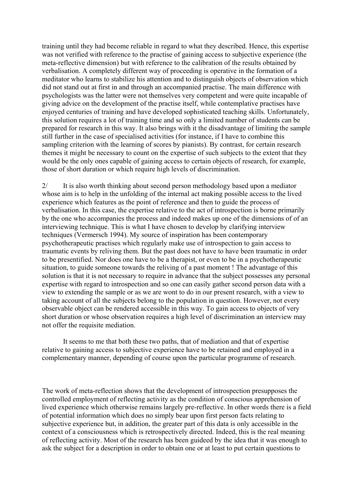training until they had become reliable in regard to what they described. Hence, this expertise was not verified with reference to the practise of gaining access to subjective experience (the meta-reflective dimension) but with reference to the calibration of the results obtained by verbalisation. A completely different way of proceeding is operative in the formation of a meditator who learns to stabilize his attention and to distinguish objects of observation which did not stand out at first in and through an accompanied practise. The main difference with psychologists was the latter were not themselves very competent and were quite incapable of giving advice on the development of the practise itself, while contemplative practises have enjoyed centuries of training and have developed sophisticated teaching skills. Unfortunately, this solution requires a lot of training time and so only a limited number of students can be prepared for research in this way. It also brings with it the disadvantage of limiting the sample still further in the case of specialised activities (for instance, if I have to combine this sampling criterion with the learning of scores by pianists). By contrast, for certain research themes it might be necessary to count on the expertise of such subjects to the extent that they would be the only ones capable of gaining access to certain objects of research, for example, those of short duration or which require high levels of discrimination.

2/ It is also worth thinking about second person methodology based upon a mediator whose aim is to help in the unfolding of the internal act making possible access to the lived experience which features as the point of reference and then to guide the process of verbalisation. In this case, the expertise relative to the act of introspection is borne primarily by the one who accompanies the process and indeed makes up one of the dimensions of of an interviewing technique. This is what I have chosen to develop by clarifying interview techniques (Vermersch 1994). My source of inspiration has been contemporary psychotherapeutic practises which regularly make use of introspection to gain access to traumatic events by reliving them. But the past does not have to have been traumatic in order to be presentified. Nor does one have to be a therapist, or even to be in a psychotherapeutic situation, to guide someone towards the reliving of a past moment ! The advantage of this solution is that it is not necessary to require in advance that the subject possesses any personal expertise with regard to introspection and so one can easily gather second person data with a view to extending the sample or as we are wont to do in our present research, with a view to taking account of all the subjects belong to the population in question. However, not every observable object can be rendered accessible in this way. To gain access to objects of very short duration or whose observation requires a high level of discrimination an interview may not offer the requisite mediation.

 It seems to me that both these two paths, that of mediation and that of expertise relative to gaining access to subjective experience have to be retained and employed in a complementary manner, depending of course upon the particular programme of research.

The work of meta-reflection shows that the development of introspection presupposes the controlled employment of reflecting activity as the condition of conscious apprehension of lived experience which otherwise remains largely pre-reflective. In other words there is a field of potential information which does no simply bear upon first person facts relating to subjective experience but, in addition, the greater part of this data is only accessible in the context of a consciousness which is retrospectively directed. Indeed, this is the real meaning of reflecting activity. Most of the research has been guideed by the idea that it was enough to ask the subject for a description in order to obtain one or at least to put certain questions to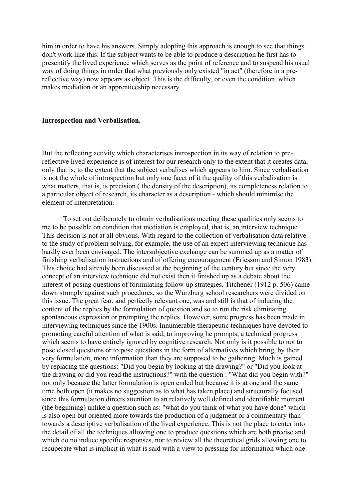him in order to have his answers. Simply adopting this approach is enough to see that things don't work like this. If the subject wants to be able to produce a description he first has to presentify the lived experience which serves as the point of reference and to suspend his usual way of doing things in order that what previously only existed "in act" (therefore in a prereflective way) now appears as object. This is the difficulty, or even the condition, which makes mediation or an apprenticeship necessary.

## **Introspection and Verbalisation.**

But the reflecting activity which characterises introspection in its way of relation to prereflective lived experience is of interest for our research only to the extent that it creates data, only that is, to the extent that the subject verbalises which appears to him. Since verbalisation is not the whole of introspection but only one facet of it the quality of this verbalisation is what matters, that is, is precision ( the density of the description), its completeness relation to a particular object of research, its character as a description - which should minimise the element of interpretation.

 To set out deliberately to obtain verbalisations meeting these qualities only seems to me to be possible on condition that mediation is employed, that is, an interview technique. This decision is not at all obvious. With regard to the collection of verbalisation data relative to the study of problem solving, for example, the use of an expert interviewing technique has hardly ever been envisaged. The intersubjective exchange can be summed up as a matter of finishing verbalisation instructions and of offering encouragement (Ericsson and Simon 1983). This choice had already been discussed at the beginning of the century but since the very concept of an interview technique did not exist then it finished up as a debate about the interest of posing questions of formulating follow-up strategies. Titchener (1912 p. 506) came down strongly against such procedures, so the Wurzburg school researchers were divided on this issue. The great fear, and perfectly relevant one, was and still is that of inducing the content of the replies by the formulation of question and so to run the risk eliminating spontaneous expression or prompting the replies. However, some progress has been made in interviewing techniques since the 1900s. Innumerable therapeutic techniques have devoted to promoting careful attention of what is said, to improving he prompts, a technical progress which seems to have entirely ignored by cognitive research. Not only is it possible to not to pose closed questions or to pose questions in the form of alternatives which bring, by their very formulation, more information than they are supposed to be gathering. Much is gained by replacing the questions: "Did you begin by looking at the drawing?" or "Did you look at the drawing or did you read the instructions?" with the question : "What did you begin with?" not only because the latter formulation is open ended but because it is at one and the same time both open (it makes no suggestion as to what has taken place) and structurally focused since this formulation directs attention to an relatively well defined and identifiable moment (the beginning) unlike a question such as: "what do you think of what you have done" which is also open but oriented more towards the production of a judgment or a commentary than towards a descriptive verbalisation of the lived experience. This is not the place to enter into the detail of all the techniques allowing one to produce questions which are both precise and which do no induce specific responses, nor to review all the theoretical grids allowing one to recuperate what is implicit in what is said with a view to pressing for information which one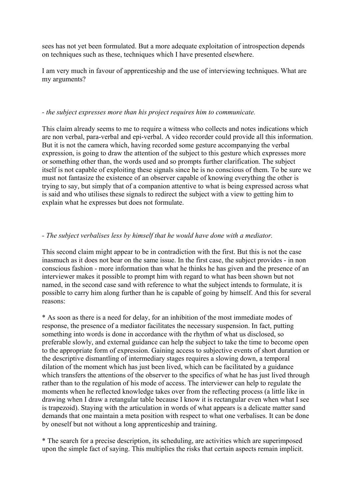sees has not yet been formulated. But a more adequate exploitation of introspection depends on techniques such as these, techniques which I have presented elsewhere.

I am very much in favour of apprenticeship and the use of interviewing techniques. What are my arguments?

## *- the subject expresses more than his project requires him to communicate.*

This claim already seems to me to require a witness who collects and notes indications which are non verbal, para-verbal and epi-verbal. A video recorder could provide all this information. But it is not the camera which, having recorded some gesture accompanying the verbal expression, is going to draw the attention of the subject to this gesture which expresses more or something other than, the words used and so prompts further clarification. The subject itself is not capable of exploiting these signals since he is no conscious of them. To be sure we must not fantasize the existence of an observer capable of knowing everything the other is trying to say, but simply that of a companion attentive to what is being expressed across what is said and who utilises these signals to redirect the subject with a view to getting him to explain what he expresses but does not formulate.

# *- The subject verbalises less by himself that he would have done with a mediator.*

This second claim might appear to be in contradiction with the first. But this is not the case inasmuch as it does not bear on the same issue. In the first case, the subject provides - in non conscious fashion - more information than what he thinks he has given and the presence of an interviewer makes it possible to prompt him with regard to what has been shown but not named, in the second case sand with reference to what the subject intends to formulate, it is possible to carry him along further than he is capable of going by himself. And this for several reasons:

\* As soon as there is a need for delay, for an inhibition of the most immediate modes of response, the presence of a mediator facilitates the necessary suspension. In fact, putting something into words is done in accordance with the rhythm of what us disclosed, so preferable slowly, and external guidance can help the subject to take the time to become open to the appropriate form of expression. Gaining access to subjective events of short duration or the descriptive dismantling of intermediary stages requires a slowing down, a temporal dilation of the moment which has just been lived, which can be facilitated by a guidance which transfers the attentions of the observer to the specifics of what he has just lived through rather than to the regulation of his mode of access. The interviewer can help to regulate the moments when he reflected knowledge takes over from the reflecting process (a little like in drawing when I draw a retangular table because I know it is rectangular even when what I see is trapezoid). Staying with the articulation in words of what appears is a delicate matter sand demands that one maintain a meta position with respect to what one verbalises. It can be done by oneself but not without a long apprenticeship and training.

\* The search for a precise description, its scheduling, are activities which are superimposed upon the simple fact of saying. This multiplies the risks that certain aspects remain implicit.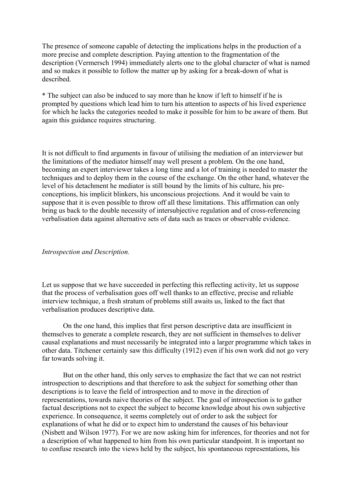The presence of someone capable of detecting the implications helps in the production of a more precise and complete description. Paying attention to the fragmentation of the description (Vermersch 1994) immediately alerts one to the global character of what is named and so makes it possible to follow the matter up by asking for a break-down of what is described.

\* The subject can also be induced to say more than he know if left to himself if he is prompted by questions which lead him to turn his attention to aspects of his lived experience for which he lacks the categories needed to make it possible for him to be aware of them. But again this guidance requires structuring.

It is not difficult to find arguments in favour of utilising the mediation of an interviewer but the limitations of the mediator himself may well present a problem. On the one hand, becoming an expert interviewer takes a long time and a lot of training is needed to master the techniques and to deploy them in the course of the exchange. On the other hand, whatever the level of his detachment he mediator is still bound by the limits of his culture, his preconceptions, his implicit blinkers, his unconscious projections. And it would be vain to suppose that it is even possible to throw off all these limitations. This affirmation can only bring us back to the double necessity of intersubjective regulation and of cross-referencing verbalisation data against alternative sets of data such as traces or observable evidence.

## *Introspection and Description.*

Let us suppose that we have succeeded in perfecting this reflecting activity, let us suppose that the process of verbalisation goes off well thanks to an effective, precise and reliable interview technique, a fresh stratum of problems still awaits us, linked to the fact that verbalisation produces descriptive data.

 On the one hand, this implies that first person descriptive data are insufficient in themselves to generate a complete research, they are not sufficient in themselves to deliver causal explanations and must necessarily be integrated into a larger programme which takes in other data. Titchener certainly saw this difficulty (1912) even if his own work did not go very far towards solving it.

 But on the other hand, this only serves to emphasize the fact that we can not restrict introspection to descriptions and that therefore to ask the subject for something other than descriptions is to leave the field of introspection and to move in the direction of representations, towards naive theories of the subject. The goal of introspection is to gather factual descriptions not to expect the subject to become knowledge about his own subjective experience. In consequence, it seems completely out of order to ask the subject for explanations of what he did or to expect him to understand the causes of his behaviour (Nisbett and Wilson 1977). For we are now asking him for inferences, for theories and not for a description of what happened to him from his own particular standpoint. It is important no to confuse research into the views held by the subject, his spontaneous representations, his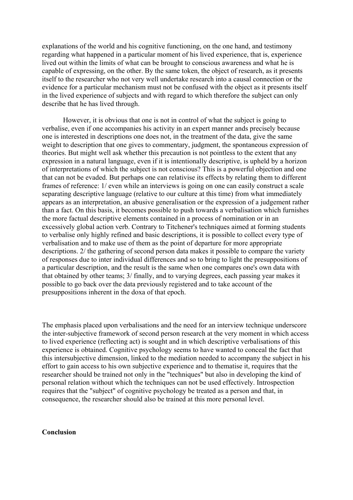explanations of the world and his cognitive functioning, on the one hand, and testimony regarding what happened in a particular moment of his lived experience, that is, experience lived out within the limits of what can be brought to conscious awareness and what he is capable of expressing, on the other. By the same token, the object of research, as it presents itself to the researcher who not very well undertake research into a causal connection or the evidence for a particular mechanism must not be confused with the object as it presents itself in the lived experience of subjects and with regard to which therefore the subject can only describe that he has lived through.

 However, it is obvious that one is not in control of what the subject is going to verbalise, even if one accompanies his activity in an expert manner ands precisely because one is interested in descriptions one does not, in the treatment of the data, give the same weight to description that one gives to commentary, judgment, the spontaneous expression of theories. But might well ask whether this precaution is not pointless to the extent that any expression in a natural language, even if it is intentionally descriptive, is upheld by a horizon of interpretations of which the subject is not conscious? This is a powerful objection and one that can not be evaded. But perhaps one can relativise its effects by relating them to different frames of reference: 1/ even while an interviews is going on one can easily construct a scale separating descriptive language (relative to our culture at this time) from what immediately appears as an interpretation, an abusive generalisation or the expression of a judgement rather than a fact. On this basis, it becomes possible to push towards a verbalisation which furnishes the more factual descriptive elements contained in a process of nomination or in an excessively global action verb. Contrary to Titchener's techniques aimed at forming students to verbalise only highly refined and basic descriptions, it is possible to collect every type of verbalisation and to make use of them as the point of departure for more appropriate descriptions. 2/ the gathering of second person data makes it possible to compare the variety of responses due to inter individual differences and so to bring to light the presuppositions of a particular description, and the result is the same when one compares one's own data with that obtained by other teams; 3/ finally, and to varying degrees, each passing year makes it possible to go back over the data previously registered and to take account of the presuppositions inherent in the doxa of that epoch.

The emphasis placed upon verbalisations and the need for an interview technique underscore the inter-subjective framework of second person research at the very moment in which access to lived experience (reflecting act) is sought and in which descriptive verbalisations of this experience is obtained. Cognitive psychology seems to have wanted to conceal the fact that this intersubjective dimension, linked to the mediation needed to accompany the subject in his effort to gain access to his own subjective experience and to thematise it, requires that the researcher should be trained not only in the "techniques" but also in developing the kind of personal relation without which the techniques can not be used effectively. Introspection requires that the "subject" of cognitive psychology be treated as a person and that, in consequence, the researcher should also be trained at this more personal level.

## **Conclusion**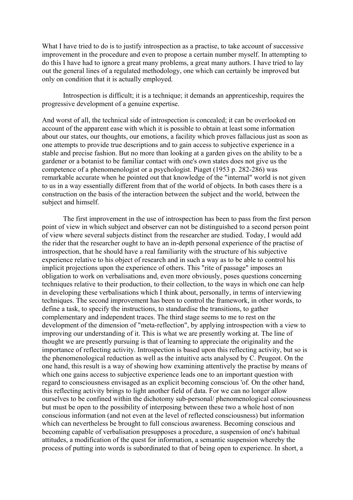What I have tried to do is to justify introspection as a practise, to take account of successive improvement in the procedure and even to propose a certain number myself. In attempting to do this I have had to ignore a great many problems, a great many authors. I have tried to lay out the general lines of a regulated methodology, one which can certainly be improved but only on condition that it is actually employed.

 Introspection is difficult; it is a technique; it demands an apprenticeship, requires the progressive development of a genuine expertise.

And worst of all, the technical side of introspection is concealed; it can be overlooked on account of the apparent ease with which it is possible to obtain at least some information about our states, our thoughts, our emotions, a facility which proves fallacious just as soon as one attempts to provide true descriptions and to gain access to subjective experience in a stable and precise fashion. But no more than looking at a garden gives on the ability to be a gardener or a botanist to be familiar contact with one's own states does not give us the competence of a phenomenologist or a psychologist. Piaget (1953 p. 282-286) was remarkable accurate when he pointed out that knowledge of the "internal" world is not given to us in a way essentially different from that of the world of objects. In both cases there is a construction on the basis of the interaction between the subject and the world, between the subject and himself.

 The first improvement in the use of introspection has been to pass from the first person point of view in which subject and observer can not be distinguished to a second person point of view where several subjects distinct from the researcher are studied. Today, I would add the rider that the researcher ought to have an in-depth personal experience of the practise of introspection, that he should have a real familiarity with the structure of his subjective experience relative to his object of research and in such a way as to be able to control his implicit projections upon the experience of others. This "rite of passage" imposes an obligation to work on verbalisations and, even more obviously, poses questions concerning techniques relative to their production, to their collection, to the ways in which one can help in developing these verbalisations which I think about, personally, in terms of interviewing techniques. The second improvement has been to control the framework, in other words, to define a task, to specify the instructions, to standardise the transitions, to gather complementary and independent traces. The third stage seems to me to rest on the development of the dimension of "meta-reflection", by applying introspection with a view to improving our understanding of it. This is what we are presently working at. The line of thought we are presently pursuing is that of learning to appreciate the originality and the importance of reflecting activity. Introspection is based upon this reflecting activity, but so is the phenomenological reduction as well as the intuitive acts analysed by C. Peugeot. On the one hand, this result is a way of showing how examining attentively the practise by means of which one gains access to subjective experience leads one to an important question with regard to consciousness envisaged as an explicit becoming conscious 'of. On the other hand, this reflecting activity brings to light another field of data. For we can no longer allow ourselves to be confined within the dichotomy sub-personal/ phenomenological consciousness but must be open to the possibility of interposing between these two a whole host of non conscious information (and not even at the level of reflected consciousness) but information which can nevertheless be brought to full conscious awareness. Becoming conscious and becoming capable of verbalisation presupposes a procedure, a suspension of one's habitual attitudes, a modification of the quest for information, a semantic suspension whereby the process of putting into words is subordinated to that of being open to experience. In short, a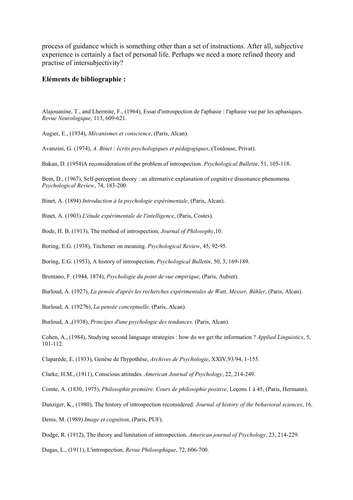process of guidance which is something other than a set of instructions. After all, subjective experience is certainly a fact of personal life. Perhaps we need a more refined theory and practise of intersubjectivity?

#### **Eléments de bibliographie :**

Alajouanine, T., and Lhermite, F., (1964), Essai d'introspection de l'aphasie : l'aphasie vue par les aphasiques. *Revue Neurologique*, 113, 609-621.

Augier, E., (1934), *Mécanismes et conscience*, (Paris, Alcan).

Avanzini, G. (1974), *A. Binet : écrits psychologiques et pédagogiques*, (Toulouse, Privat).

Bakan, D. (1954)A reconsideration of the problem of introspection. *Psychological Bulletin*, 51, 105-118.

Bem, D., (1967), Self-perception theory : an alternative explanation of cognitive dissonance phenomena. *Psychological Review*, 74, 183-200.

Binet, A. (1894) *Introduction à la psychologie expérimentale*, (Paris, Alcan).

Binet, A. (1903) *L'étude expérimentale de l'intelligence*, (Paris, Costes).

Bode, H. B. (1913), The method of introspection, *Journal of Philosophy*,10.

Boring, E.G. (1938), Titchener on meaning. *Psychological Review*, 45, 92-95.

Boring, E.G. (1953), A history of introspection, *Psychological Bulletin*, 50, 3, 169-189.

Brentano, F. (1944, 1874), *Psychologie du point de vue empirique*, (Paris, Aubier).

Burloud, A. (1927), *La pensée d'après les recherches expérimentales de Watt, Messer, Bühler*, (Paris, Alcan).

Burloud, A. (1927b), *La pensée conceptuelle*. (Paris, Alcan).

Burloud, A.,(1938), *Principes d'une psychologie des tendances*. (Paris, Alcan).

Cohen, A., (1984), Studying second language strategies : how do we get the information ? *Applied Linguistics*, 5, 101-112.

Claparède, E. (1933), Genèse de l'hypothèse, *Archives de Psychologie*, XXIV,93/94, 1-155.

Clarke, H.M., (1911), Conscious attitudes. *American Journal of Psychology*, 22, 214-249.

Comte, A. (1830, 1975), *Philosophie première. Cours de philosophie positive*, Leçons 1 à 45, (Paris, Hermann).

Danziger, K., (1980), The history of introspection reconsidered. *Journal of history of the behavioral sciences*, 16.

Denis, M. (1989) *Image et cognition*, (Paris, PUF).

Dodge, R. (1912), The theory and limitation of introspection. *American journal of Psychology*, 23, 214-229.

Dugas, L., (1911), L'introspection. *Revue Philosophique*, 72, 606-700.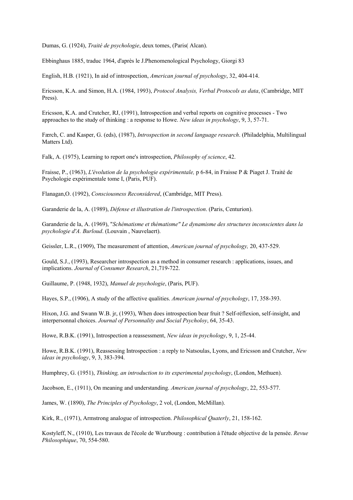Dumas, G. (1924), *Traité de psychologie*, deux tomes, (Paris( Alcan).

Ebbinghaus 1885, traduc 1964, d'après le J.Phenomenological Psychology, Giorgi 83

English, H.B. (1921), In aid of introspection, *American journal of psychology*, 32, 404-414.

Ericsson, K.A. and Simon, H.A. (1984, 1993), *Protocol Analysis, Verbal Protocols as data*, (Cambridge, MIT Press).

Ericsson, K.A. and Crutcher, RJ, (1991), Introspection and verbal reports on cognitive processes - Two approaches to the study of thinking : a response to Howe. *New ideas in psychology*, 9, 3, 57-71.

Færch, C. and Kasper, G. (eds), (1987), *Introspection in second language research*. (Philadelphia, Multilingual Matters Ltd).

Falk, A. (1975), Learning to report one's introspection, *Philosophy of science*, 42.

Fraisse, P., (1963), *L'évolution de la psychologie expérimentale,* p 6-84, in Fraisse P & Piaget J. Traité de Psychologie expérimentale tome I, (Paris, PUF).

Flanagan,O. (1992), *Consciousness Reconsidered*, (Cambridge, MIT Press).

Garanderie de la, A. (1989), *Défense et illustration de l'introspection*. (Paris, Centurion).

Garanderie de la, A. (1969), "*Schématisme et thématisme" Le dynamisme des structures inconscientes dans la psychologie d'A. Burloud*. (Louvain , Nauvelaert).

Geissler, L.R., (1909), The measurement of attention, *American journal of psychology,* 20, 437-529.

Gould, S.J., (1993), Researcher introspection as a method in consumer research : applications, issues, and implications. *Journal of Consumer Research*, 21,719-722.

Guillaume, P. (1948, 1932), *Manuel de psychologie*, (Paris, PUF).

Hayes, S.P., (1906), A study of the affective qualities. *American journal of psychology*, 17, 358-393.

Hixon, J.G. and Swann W.B. jr, (1993), When does introspection bear fruit ? Self-réflexion, self-insight, and interpersonnal choices. *Journal of Personnality and Social Psycholoy*, 64, 35-43.

Howe, R.B.K. (1991), Introspection a reassessment, *New ideas in psychology*, 9, 1, 25-44.

Howe, R.B.K. (1991), Reassessing Introspection : a reply to Natsoulas, Lyons, and Ericsson and Crutcher, *New ideas in psychology*, 9, 3, 383-394.

Humphrey, G. (1951), *Thinking, an introduction to its experimental psychology*, (London, Methuen).

Jacobson, E., (1911), On meaning and understanding. *American journal of psychology*, 22, 553-577.

James, W. (1890), *The Principles of Psychology*, 2 vol, (London, McMillan).

Kirk, R., (1971), Armstrong analogue of introspection. *Philosophical Quaterly*, 21, 158-162.

Kostyleff, N., (1910), Les travaux de l'école de Wurzbourg : contribution à l'étude objective de la pensée. *Revue Philosophique*, 70, 554-580.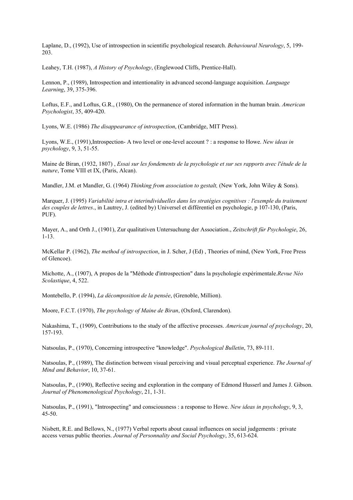Laplane, D., (1992), Use of introspection in scientific psychological research. *Behavioural Neurology*, 5, 199- 203.

Leahey, T.H. (1987), *A History of Psychology*, (Englewood Cliffs, Prentice-Hall).

Lennon, P., (1989), Introspection and intentionality in advanced second-language acquisition. *Language Learning*, 39, 375-396.

Loftus, E.F., and Loftus, G.R., (1980), On the permanence of stored information in the human brain. *American Psychologist*, 35, 409-420.

Lyons, W.E. (1986) *The disappearance of introspection*, (Cambridge, MIT Press).

Lyons, W.E., (1991),Introspection- A two level or one-level account ? : a response to Howe. *New ideas in psychology*, 9, 3, 51-55.

Maine de Biran, (1932, 1807) , *Essai sur les fondements de la psychologie et sur ses rapports avec l'étude de la nature*, Tome VIII et IX, (Paris, Alcan).

Mandler, J.M. et Mandler, G. (1964) *Thinking from association to gestalt,* (New York, John Wiley & Sons).

Marquer, J. (1995) *Variabilité intra et interindividuelles dans les stratégies cognitives : l'exemple du traitement des couples de lettres*., in Lautrey, J. (edited by) Universel et différentiel en psychologie, p 107-130, (Paris, PUF).

Mayer, A., and Orth J., (1901), Zur qualitativen Untersuchung der Association., *Zeitschrift für Psychologie*, 26, 1-13.

McKellar P. (1962), *The method of introspection*, in J. Scher, J (Ed) , Theories of mind, (New York, Free Press of Glencoe).

Michotte, A., (1907), A propos de la "Méthode d'introspection" dans la psychologie expérimentale.*Revue Néo Scolastique*, 4, 522.

Montebello, P. (1994), *La décomposition de la pensée*, (Grenoble, Million).

Moore, F.C.T. (1970), *The psychology of Maine de Biran*, (Oxford, Clarendon).

Nakashima, T., (1909), Contributions to the study of the affective processes. *American journal of psychology*, 20, 157-193.

Natsoulas, P., (1970), Concerning introspective "knowledge". *Psychological Bulletin*, 73, 89-111.

Natsoulas, P., (1989), The distinction between visual perceiving and visual perceptual experience. *The Journal of Mind and Behavior*, 10, 37-61.

Natsoulas, P., (1990), Reflective seeing and exploration in the company of Edmond Husserl and James J. Gibson. *Journal of Phenomenological Psychology*, 21, 1-31.

Natsoulas, P., (1991), "Introspecting" and consciousness : a response to Howe. *New ideas in psychology*, 9, 3, 45-50.

Nisbett, R.E. and Bellows, N., (1977) Verbal reports about causal influences on social judgements : private access versus public theories. *Journal of Personnality and Social Psychology*, 35, 613-624.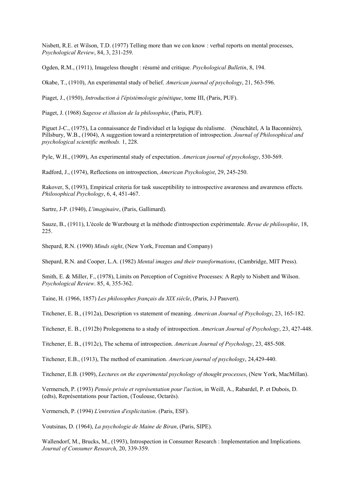Nisbett, R.E. et Wilson, T.D. (1977) Telling more than we con know : verbal reports on mental processes, *Psychological Review*, 84, 3, 231-259.

Ogden, R.M., (1911), Imageless thought : résumé and critique. *Psychological Bulletin*, 8, 194.

Okabe, T., (1910), An experimental study of belief. *American journal of psychology*, 21, 563-596.

Piaget, J., (1950), *Introduction à l'épistémologie génétique*, tome III, (Paris, PUF).

Piaget, J. (1968) *Sagesse et illusion de la philosophie*, (Paris, PUF).

Piguet J-C., (1975), La connaissance de l'individuel et la logique du réalisme. (Neuchâtel, A la Baconnière), Pillsbury, W.B., (1904), A suggestion toward a reinterpretation of introspection. *Journal of Philosophical and psychological scientific methods.* 1, 228.

Pyle, W.H., (1909), An experimental study of expectation. *American journal of psychology*, 530-569.

Radford, J., (1974), Reflections on introspection, *American Psychologist*, 29, 245-250.

Rakover, S, (1993), Empirical criteria for task susceptibility to introspective awareness and awareness effects. *Philosophical Psychology*, 6, 4, 451-467.

Sartre, J-P. (1940), *L'imaginaire*, (Paris, Gallimard).

Sauze, B., (1911), L'école de Wurzbourg et la méthode d'introspection expérimentale. *Revue de philosophie*, 18, 225.

Shepard, R.N. (1990) *Minds sight*, (New York, Freeman and Company)

Shepard, R.N. and Cooper, L.A. (1982) *Mental images and their transformations*, (Cambridge, MIT Press).

Smith, E. & Miller, F., (1978), Limits on Perception of Cognitive Processes: A Reply to Nisbett and Wilson. *Psychological Review*. 85, 4, 355-362.

Taine, H. (1966, 1857) *Les philosophes français du XIX siècle*, (Paris, J-J Pauvert).

Titchener, E. B., (1912a), Description vs statement of meaning. *American Journal of Psychology*, 23, 165-182.

Titchener, E. B., (1912b) Prolegomena to a study of introspection. *American Journal of Psychology*, 23, 427-448.

Titchener, E. B., (1912c), The schema of introspection. *American Journal of Psychology*, 23, 485-508.

Titchener, E.B., (1913), The method of examination. *American journal of psychology*, 24,429-440.

Titchener, E.B. (1909), *Lectures on the experimental psychology of thought processes*, (New York, MacMillan).

Vermersch, P. (1993) *Pensée privée et représentation pour l'action*, in Weill, A., Rabardel, P. et Dubois, D. (edts), Représentations pour l'action, (Toulouse, Octarès).

Vermersch, P. (1994) *L'entretien d'explicitation*. (Paris, ESF).

Voutsinas, D. (1964), *La psychologie de Maine de Biran*, (Paris, SIPE).

Wallendorf, M., Brucks, M., (1993), Introspection in Consumer Research : Implementation and Implications. *Journal of Consumer Research*, 20, 339-359.